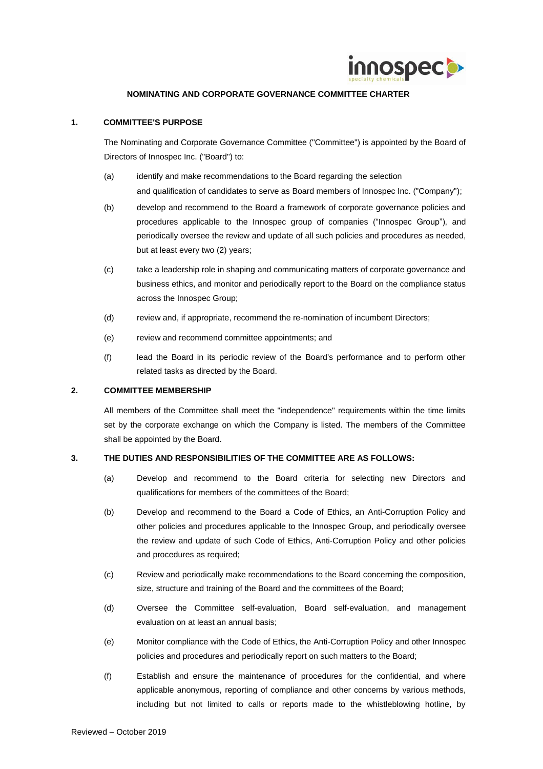

## **NOMINATING AND CORPORATE GOVERNANCE COMMITTEE CHARTER**

## **1. COMMITTEE'S PURPOSE**

The Nominating and Corporate Governance Committee ("Committee") is appointed by the Board of Directors of Innospec Inc. ("Board") to:

- (a) identify and make recommendations to the Board regarding the selection and qualification of candidates to serve as Board members of Innospec Inc. ("Company");
- (b) develop and recommend to the Board a framework of corporate governance policies and procedures applicable to the Innospec group of companies ("Innospec Group"), and periodically oversee the review and update of all such policies and procedures as needed, but at least every two (2) years;
- (c) take a leadership role in shaping and communicating matters of corporate governance and business ethics, and monitor and periodically report to the Board on the compliance status across the Innospec Group;
- (d) review and, if appropriate, recommend the re-nomination of incumbent Directors;
- (e) review and recommend committee appointments; and
- (f) lead the Board in its periodic review of the Board's performance and to perform other related tasks as directed by the Board.

## **2. COMMITTEE MEMBERSHIP**

All members of the Committee shall meet the "independence" requirements within the time limits set by the corporate exchange on which the Company is listed. The members of the Committee shall be appointed by the Board.

## **3. THE DUTIES AND RESPONSIBILITIES OF THE COMMITTEE ARE AS FOLLOWS:**

- (a) Develop and recommend to the Board criteria for selecting new Directors and qualifications for members of the committees of the Board;
- (b) Develop and recommend to the Board a Code of Ethics, an Anti-Corruption Policy and other policies and procedures applicable to the Innospec Group, and periodically oversee the review and update of such Code of Ethics, Anti-Corruption Policy and other policies and procedures as required;
- (c) Review and periodically make recommendations to the Board concerning the composition, size, structure and training of the Board and the committees of the Board;
- (d) Oversee the Committee self-evaluation, Board self-evaluation, and management evaluation on at least an annual basis;
- (e) Monitor compliance with the Code of Ethics, the Anti-Corruption Policy and other Innospec policies and procedures and periodically report on such matters to the Board;
- (f) Establish and ensure the maintenance of procedures for the confidential, and where applicable anonymous, reporting of compliance and other concerns by various methods, including but not limited to calls or reports made to the whistleblowing hotline, by